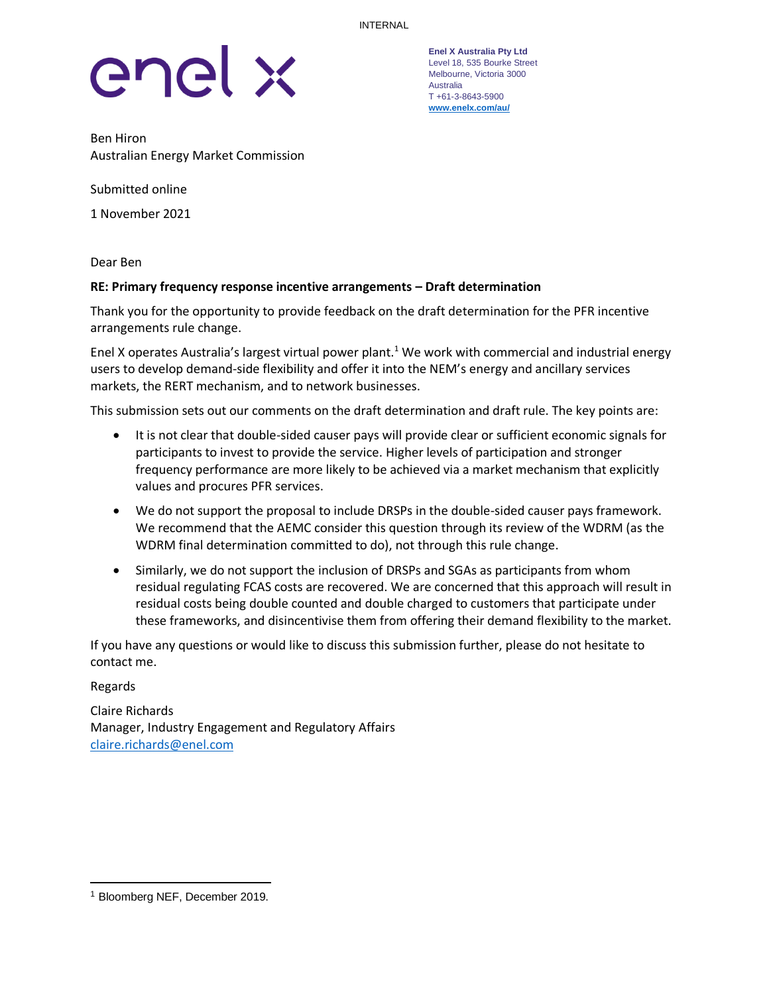

**Enel X Australia Pty Ltd** Level 18, 535 Bourke Street Melbourne, Victoria 3000 Australia T +61-3-8643-5900 **[www.enelx.com/a](http://www.enelx.com/)u/**

Ben Hiron Australian Energy Market Commission

Submitted online

1 November 2021

Dear Ben

### **RE: Primary frequency response incentive arrangements – Draft determination**

Thank you for the opportunity to provide feedback on the draft determination for the PFR incentive arrangements rule change.

Enel X operates Australia's largest virtual power plant.<sup>1</sup> We work with commercial and industrial energy users to develop demand-side flexibility and offer it into the NEM's energy and ancillary services markets, the RERT mechanism, and to network businesses.

This submission sets out our comments on the draft determination and draft rule. The key points are:

- It is not clear that double-sided causer pays will provide clear or sufficient economic signals for participants to invest to provide the service. Higher levels of participation and stronger frequency performance are more likely to be achieved via a market mechanism that explicitly values and procures PFR services.
- We do not support the proposal to include DRSPs in the double-sided causer pays framework. We recommend that the AEMC consider this question through its review of the WDRM (as the WDRM final determination committed to do), not through this rule change.
- Similarly, we do not support the inclusion of DRSPs and SGAs as participants from whom residual regulating FCAS costs are recovered. We are concerned that this approach will result in residual costs being double counted and double charged to customers that participate under these frameworks, and disincentivise them from offering their demand flexibility to the market.

If you have any questions or would like to discuss this submission further, please do not hesitate to contact me.

Regards

Claire Richards Manager, Industry Engagement and Regulatory Affairs [claire.richards@enel.com](mailto:claire.richards@enel.com)

<sup>1</sup> Bloomberg NEF, December 2019.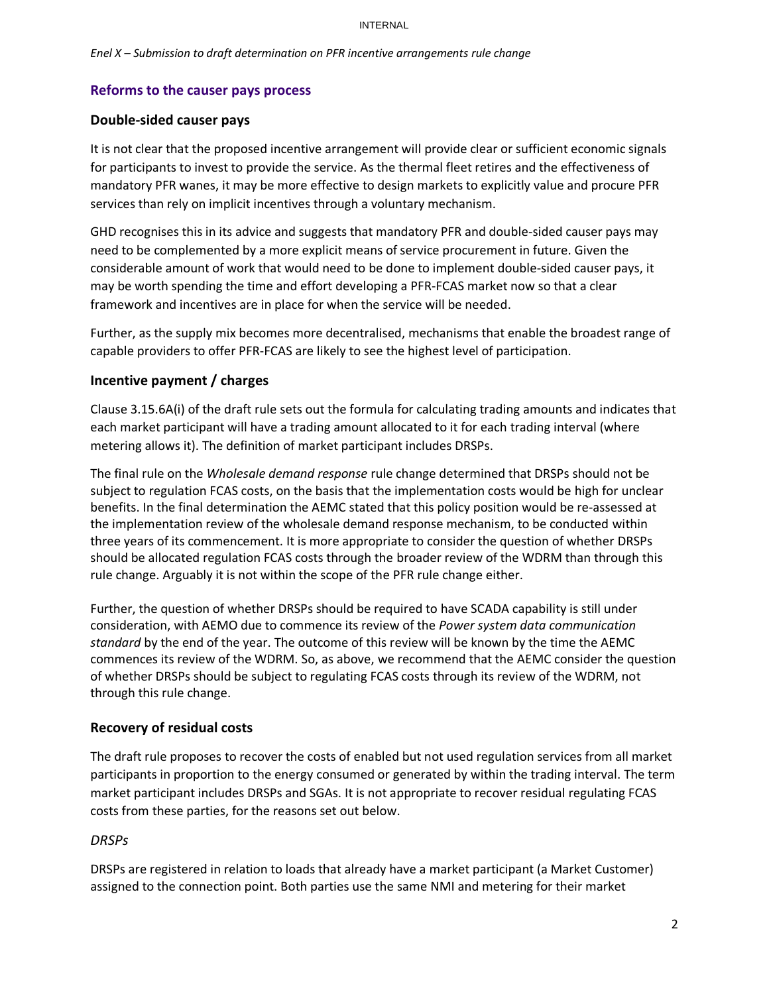#### INTERNAL

## **Reforms to the causer pays process**

### **Double-sided causer pays**

It is not clear that the proposed incentive arrangement will provide clear or sufficient economic signals for participants to invest to provide the service. As the thermal fleet retires and the effectiveness of mandatory PFR wanes, it may be more effective to design markets to explicitly value and procure PFR services than rely on implicit incentives through a voluntary mechanism.

GHD recognises this in its advice and suggests that mandatory PFR and double-sided causer pays may need to be complemented by a more explicit means of service procurement in future. Given the considerable amount of work that would need to be done to implement double-sided causer pays, it may be worth spending the time and effort developing a PFR-FCAS market now so that a clear framework and incentives are in place for when the service will be needed.

Further, as the supply mix becomes more decentralised, mechanisms that enable the broadest range of capable providers to offer PFR-FCAS are likely to see the highest level of participation.

# **Incentive payment / charges**

Clause 3.15.6A(i) of the draft rule sets out the formula for calculating trading amounts and indicates that each market participant will have a trading amount allocated to it for each trading interval (where metering allows it). The definition of market participant includes DRSPs.

The final rule on the *Wholesale demand response* rule change determined that DRSPs should not be subject to regulation FCAS costs, on the basis that the implementation costs would be high for unclear benefits. In the final determination the AEMC stated that this policy position would be re-assessed at the implementation review of the wholesale demand response mechanism, to be conducted within three years of its commencement. It is more appropriate to consider the question of whether DRSPs should be allocated regulation FCAS costs through the broader review of the WDRM than through this rule change. Arguably it is not within the scope of the PFR rule change either.

Further, the question of whether DRSPs should be required to have SCADA capability is still under consideration, with AEMO due to commence its review of the *Power system data communication standard* by the end of the year. The outcome of this review will be known by the time the AEMC commences its review of the WDRM. So, as above, we recommend that the AEMC consider the question of whether DRSPs should be subject to regulating FCAS costs through its review of the WDRM, not through this rule change.

### **Recovery of residual costs**

The draft rule proposes to recover the costs of enabled but not used regulation services from all market participants in proportion to the energy consumed or generated by within the trading interval. The term market participant includes DRSPs and SGAs. It is not appropriate to recover residual regulating FCAS costs from these parties, for the reasons set out below.

### *DRSPs*

DRSPs are registered in relation to loads that already have a market participant (a Market Customer) assigned to the connection point. Both parties use the same NMI and metering for their market